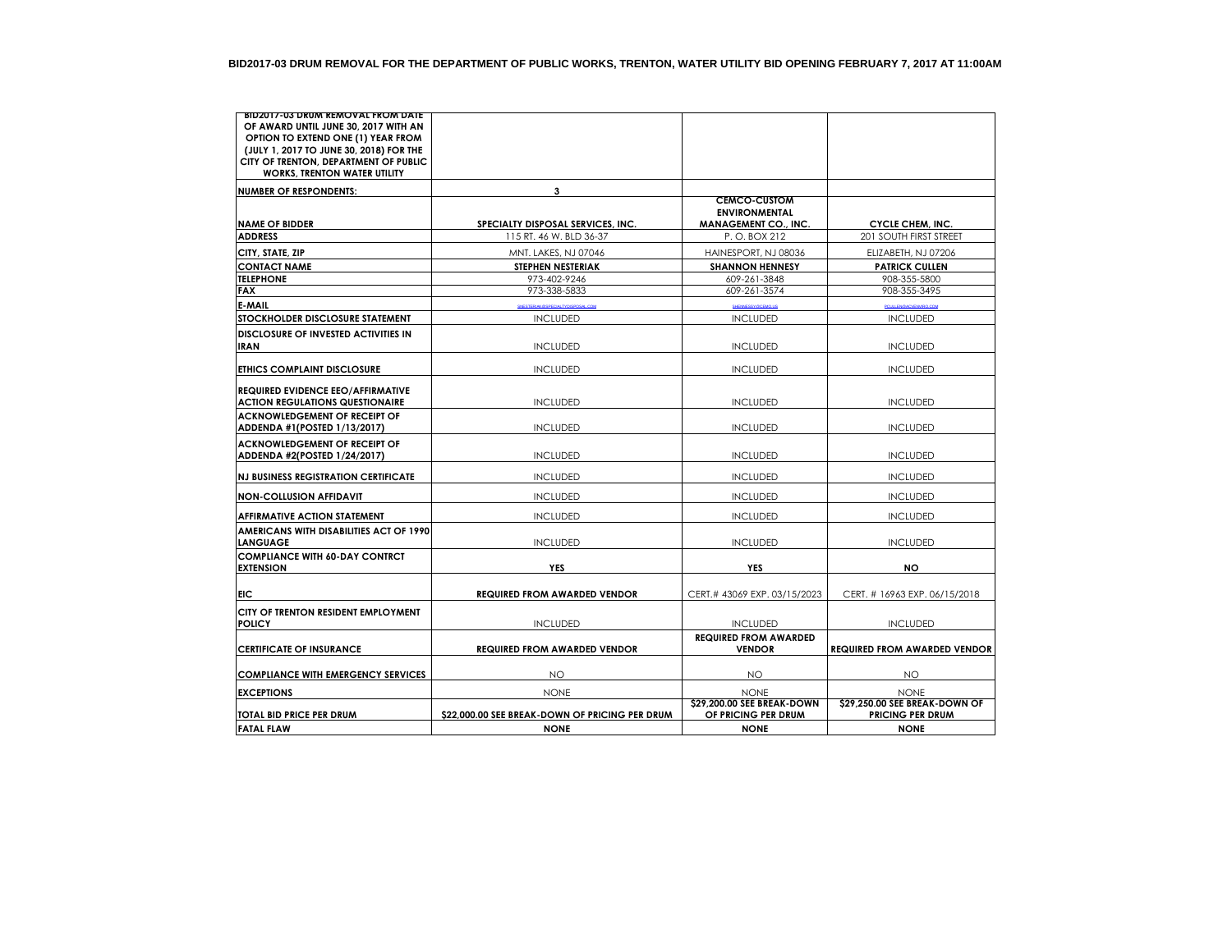| BID2017-03 DRUM REMOVAL FROM DATE            |                                                |                              |                                     |
|----------------------------------------------|------------------------------------------------|------------------------------|-------------------------------------|
| OF AWARD UNTIL JUNE 30, 2017 WITH AN         |                                                |                              |                                     |
| OPTION TO EXTEND ONE (1) YEAR FROM           |                                                |                              |                                     |
| (JULY 1, 2017 TO JUNE 30, 2018) FOR THE      |                                                |                              |                                     |
| CITY OF TRENTON, DEPARTMENT OF PUBLIC        |                                                |                              |                                     |
| <b>WORKS, TRENTON WATER UTILITY</b>          |                                                |                              |                                     |
| <b>NUMBER OF RESPONDENTS:</b>                | 3                                              |                              |                                     |
|                                              |                                                | <b>CEMCO-CUSTOM</b>          |                                     |
|                                              |                                                | <b>ENVIRONMENTAL</b>         |                                     |
| <b>NAME OF BIDDER</b>                        | SPECIALTY DISPOSAL SERVICES, INC.              | <b>MANAGEMENT CO., INC.</b>  | <b>CYCLE CHEM, INC.</b>             |
| <b>ADDRESS</b>                               | 115 RT. 46 W. BLD 36-37                        | P.O. BOX 212                 | 201 SOUTH FIRST STREET              |
| CITY, STATE, ZIP                             | MNT. LAKES, NJ 07046                           | HAINESPORT, NJ 08036         | ELIZABETH, NJ 07206                 |
| <b>CONTACT NAME</b>                          | <b>STEPHEN NESTERIAK</b>                       | <b>SHANNON HENNESY</b>       | <b>PATRICK CULLEN</b>               |
| <b>TELEPHONE</b>                             | 973-402-9246                                   | 609-261-3848                 | 908-355-5800                        |
| <b>FAX</b>                                   | 973-338-5833                                   | 609-261-3574                 | 908-355-3495                        |
| E-MAIL                                       | SNESTERIAK @SPECIALTYDISPOSAL.COM              | SHENNESSY@CEMO.US            | PCULLENGACVENVIRO.COM               |
| STOCKHOLDER DISCLOSURE STATEMENT             | <b>INCLUDED</b>                                | <b>INCLUDED</b>              | <b>INCLUDED</b>                     |
| <b>DISCLOSURE OF INVESTED ACTIVITIES IN</b>  |                                                |                              |                                     |
| <b>IRAN</b>                                  | <b>INCLUDED</b>                                | <b>INCLUDED</b>              | <b>INCLUDED</b>                     |
|                                              |                                                |                              |                                     |
| <b>ETHICS COMPLAINT DISCLOSURE</b>           | <b>INCLUDED</b>                                | <b>INCLUDED</b>              | <b>INCLUDED</b>                     |
|                                              |                                                |                              |                                     |
| <b>REQUIRED EVIDENCE EEO/AFFIRMATIVE</b>     |                                                |                              |                                     |
| <b>ACTION REGULATIONS QUESTIONAIRE</b>       | <b>INCLUDED</b>                                | <b>INCLUDED</b>              | <b>INCLUDED</b>                     |
| ACKNOWLEDGEMENT OF RECEIPT OF                |                                                | <b>INCLUDED</b>              | <b>INCLUDED</b>                     |
| ADDENDA #1(POSTED 1/13/2017)                 | <b>INCLUDED</b>                                |                              |                                     |
| <b>ACKNOWLEDGEMENT OF RECEIPT OF</b>         |                                                |                              |                                     |
| ADDENDA #2(POSTED 1/24/2017)                 | <b>INCLUDED</b>                                | <b>INCLUDED</b>              | <b>INCLUDED</b>                     |
| <b>INJ BUSINESS REGISTRATION CERTIFICATE</b> | <b>INCLUDED</b>                                | <b>INCLUDED</b>              | <b>INCLUDED</b>                     |
|                                              |                                                |                              |                                     |
| <b>NON-COLLUSION AFFIDAVIT</b>               | <b>INCLUDED</b>                                | <b>INCLUDED</b>              | <b>INCLUDED</b>                     |
| <b>AFFIRMATIVE ACTION STATEMENT</b>          | <b>INCLUDED</b>                                | <b>INCLUDED</b>              | <b>INCLUDED</b>                     |
| AMERICANS WITH DISABILITIES ACT OF 1990      |                                                |                              |                                     |
| <b>LANGUAGE</b>                              | <b>INCLUDED</b>                                | <b>INCLUDED</b>              | <b>INCLUDED</b>                     |
| <b>COMPLIANCE WITH 60-DAY CONTRCT</b>        |                                                |                              |                                     |
| <b>EXTENSION</b>                             | <b>YES</b>                                     | <b>YES</b>                   | <b>NO</b>                           |
|                                              |                                                |                              |                                     |
| <b>FIC</b>                                   | <b>REQUIRED FROM AWARDED VENDOR</b>            | CERT.# 43069 EXP. 03/15/2023 | CERT. # 16963 EXP. 06/15/2018       |
| CITY OF TRENTON RESIDENT EMPLOYMENT          |                                                |                              |                                     |
| <b>POLICY</b>                                | <b>INCLUDED</b>                                | <b>INCLUDED</b>              | <b>INCLUDED</b>                     |
|                                              |                                                | <b>REQUIRED FROM AWARDED</b> |                                     |
| <b>CERTIFICATE OF INSURANCE</b>              | <b>REQUIRED FROM AWARDED VENDOR</b>            | <b>VENDOR</b>                | <b>REQUIRED FROM AWARDED VENDOR</b> |
|                                              |                                                |                              |                                     |
| <b>COMPLIANCE WITH EMERGENCY SERVICES</b>    | NO                                             | <b>NO</b>                    | NO.                                 |
| <b>EXCEPTIONS</b>                            | <b>NONE</b>                                    | <b>NONF</b>                  | <b>NONE</b>                         |
|                                              |                                                | \$29,200.00 SEE BREAK-DOWN   | \$29,250.00 SEE BREAK-DOWN OF       |
| <b>TOTAL BID PRICE PER DRUM</b>              | \$22,000.00 SEE BREAK-DOWN OF PRICING PER DRUM | OF PRICING PER DRUM          | <b>PRICING PER DRUM</b>             |
| <b>FATAL FLAW</b>                            | <b>NONE</b>                                    | <b>NONE</b>                  | <b>NONE</b>                         |
|                                              |                                                |                              |                                     |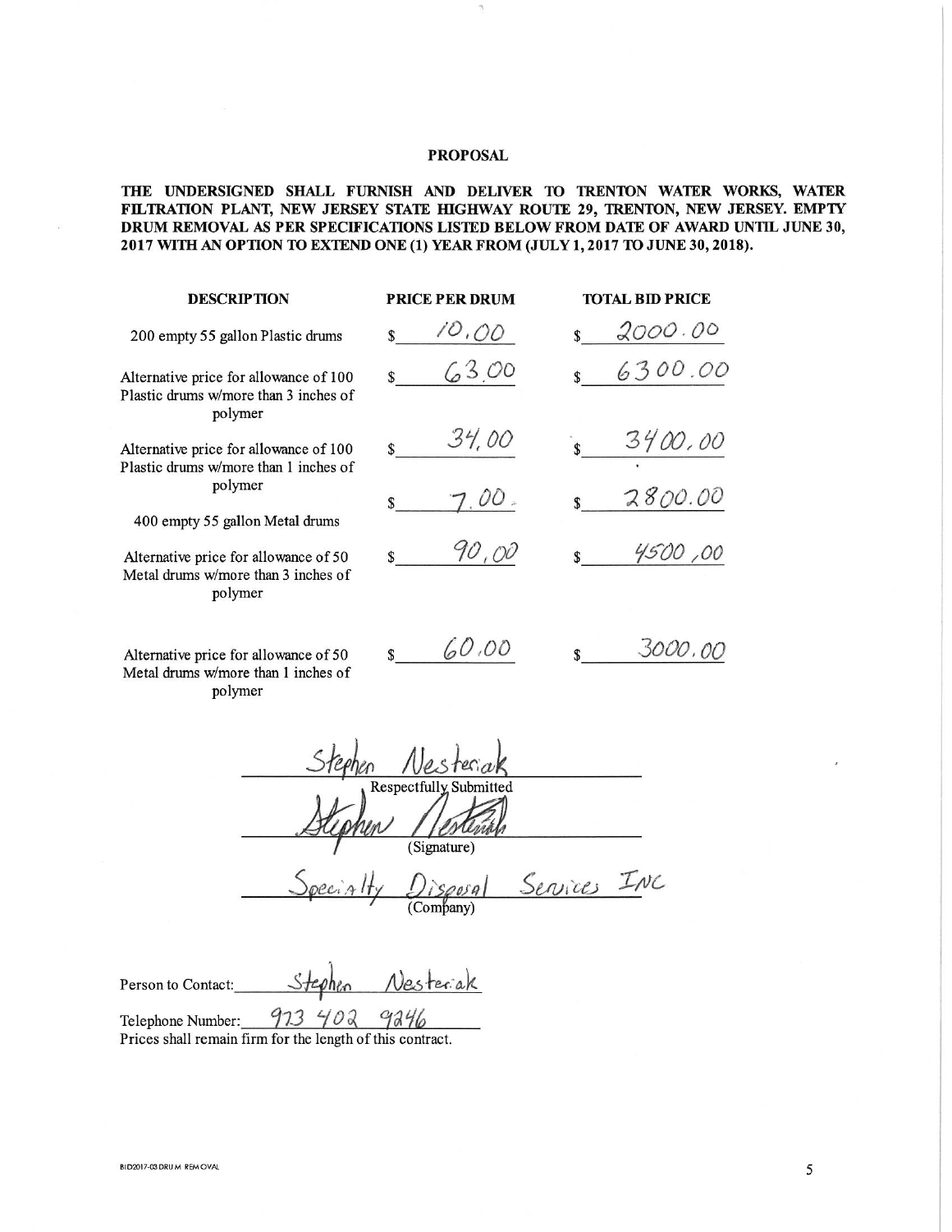# **PROPOSAL**

# THE UNDERSIGNED SHALL FURNISH AND DELIVER TO TRENTON WATER WORKS, WATER FILTRATION PLANT, NEW JERSEY STATE HIGHWAY ROUTE 29, TRENTON, NEW JERSEY. EMPTY DRUM REMOVAL AS PER SPECIFICATIONS LISTED BELOW FROM DATE OF AWARD UNTIL JUNE 30, 2017 WITH AN OPTION TO EXTEND ONE (1) YEAR FROM (JULY 1, 2017 TO JUNE 30, 2018).

| <b>DESCRIPTION</b>                                                                         | <b>PRICE PER DRUM</b> | <b>TOTAL BID PRICE</b> |
|--------------------------------------------------------------------------------------------|-----------------------|------------------------|
| 200 empty 55 gallon Plastic drums                                                          | 10,00                 | 2000.00                |
| Alternative price for allowance of 100<br>Plastic drums w/more than 3 inches of<br>polymer | 6300                  | 6300.00<br>\$          |
| Alternative price for allowance of 100<br>Plastic drums w/more than 1 inches of            | 34,00                 | 3400,00<br>\$          |
| polymer<br>400 empty 55 gallon Metal drums                                                 | $\omega o$            | 2800.00<br>\$          |
| Alternative price for allowance of 50<br>Metal drums w/more than 3 inches of<br>polymer    | 40,00                 | 4500,00                |
| Alternative price for allowance of 50<br>Metal drums w/more than 1 inches of               | 60,00<br>\$           | 3000,00<br>\$          |

polymer

Respectfully Subm (Signature)

Services INC Company)

Vesterak Person to Contact:

973 402 9246 Telephone Number: Prices shall remain firm for the length of this contract.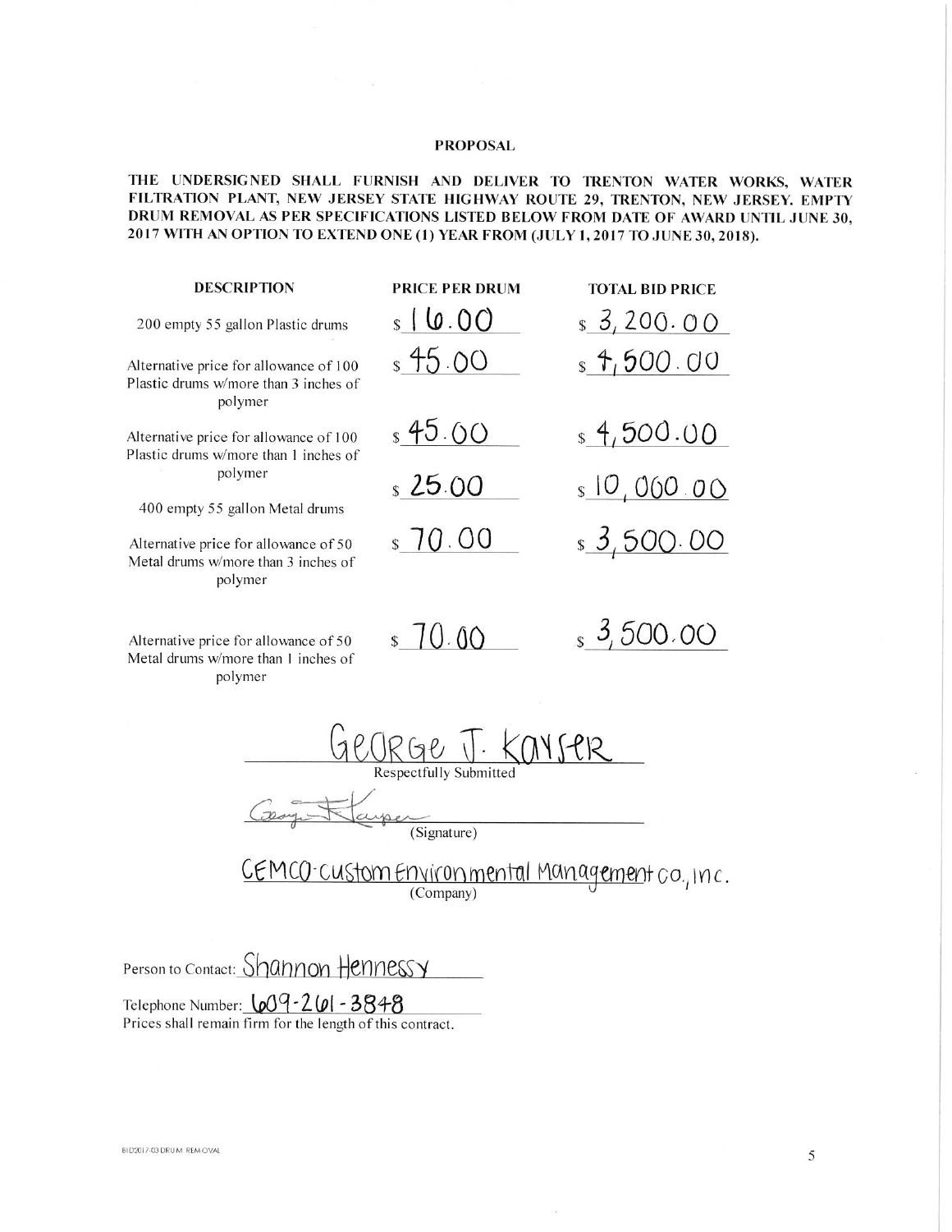# **PROPOSAL**

# THE UNDERSIGNED SHALL FURNISH AND DELIVER TO TRENTON WATER WORKS, WATER FILTRATION PLANT, NEW JERSEY STATE HIGHWAY ROUTE 29, TRENTON, NEW JERSEY. EMPTY DRUM REMOVAL AS PER SPECIFICATIONS LISTED BELOW FROM DATE OF AWARD UNTIL JUNE 30, 2017 WITH AN OPTION TO EXTEND ONE (1) YEAR FROM (JULY 1, 2017 TO JUNE 30, 2018).

| <b>DESCRIPTION</b>                                                                         | <b>PRICE PER DRUM</b> | <b>TOTAL BID PRICE</b> |
|--------------------------------------------------------------------------------------------|-----------------------|------------------------|
| 200 empty 55 gallon Plastic drums                                                          | $s \mid 0.00$         | $s$ 3, 200. 00         |
| Alternative price for allowance of 100<br>Plastic drums w/more than 3 inches of<br>polymer | \$45.00               | $s$ 4,500.00           |
| Alternative price for allowance of 100<br>Plastic drums w/more than 1 inches of            | $s$ 45.00             | $\frac{1}{2}$ 4,500.00 |
| polymer<br>400 empty 55 gallon Metal drums                                                 | s25.00                | $s$ 10,000.00          |
| Alternative price for allowance of 50<br>Metal drums w/more than 3 inches of<br>polymer    | \$70.00               | $s$ 3,500.00           |
| Alternative price for allowance of 50<br>Metal drums w/more than 1 inches of<br>polymer    | \$70.00               | 3,500.00               |

George J. Kay SPR

yser  $\frac{1}{2}$ (Signature)

CEMCO-customEnvironmental Management co., Inc.

Person to Contact: Shannon Hennessy

Telephone Number: 609-261-3848 Prices shall remain firm for the length of this contract.